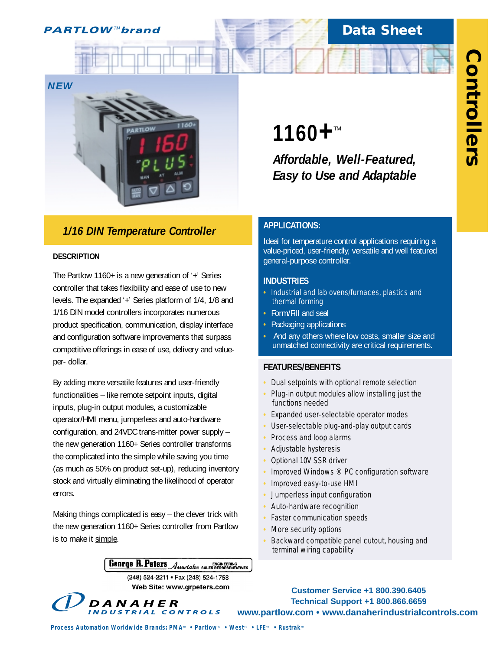# **Data Sheet**



# *1/16 DIN Temperature Controller*

### **DESCRIPTION**

The Partlow 1160+ is a new generation of '+' Series controller that takes flexibility and ease of use to new levels. The expanded '+' Series platform of 1/4, 1/8 and 1/16 DIN model controllers incorporates numerous product specification, communication, display interface and configuration software improvements that surpass competitive offerings in ease of use, delivery and valueper- dollar.

By adding more versatile features and user-friendly functionalities – like remote setpoint inputs, digital inputs, plug-in output modules, a customizable operator/HMI menu, jumperless and auto-hardware configuration, and 24VDC trans-mitter power supply – the new generation 1160+ Series controller transforms the complicated into the simple while saving you time (as much as 50% on product set-up), reducing inventory stock and virtually eliminating the likelihood of operator errors.

Making things complicated is easy – the clever trick with the new generation 1160+ Series controller from Partlow is to make it simple.

DANAHER

# George R. Peters Associates SALES REPRESENTATIVES

(248) 524-2211 · Fax (248) 524-1758 Web Site: www.grpeters.com **1160+™** 

*Affordable, Well-Featured, Easy to Use and Adaptable*

## **APPLICATIONS:**

Ideal for temperature control applications requiring a value-priced, user-friendly, versatile and well featured general-purpose controller.

### **INDUSTRIES**

- **•** Industrial and lab ovens/furnaces, plastics and thermal forming
- **•** Form/Fill and seal
- **•** Packaging applications
- **•** And any others where low costs, smaller size and unmatched connectivity are critical requirements.

## **FEATURES/BENEFITS**

- **•** Dual setpoints with optional remote selection
- **•** Plug-in output modules allow installing just the functions needed
- **•** Expanded user-selectable operator modes
- **•** User-selectable plug-and-play output cards
- **•** Process and loop alarms
- **•** Adjustable hysteresis
- **•** Optional 10V SSR driver
- **•** Improved Windows ® PC configuration software
- **•** Improved easy-to-use HMI
- **•** Jumperless input configuration
- **•** Auto-hardware recognition
- **•** Faster communication speeds
- **•** More security options
- **•** Backward compatible panel cutout, housing and terminal wiring capability



*Process Automation Worldwide Brands: PMA<sup><i>M*</sup> • Partlow<sup>*M*</sup> • West<sub>*M*</sub> • LFE<sup>*M*</sup> • Rustrak<sup>*M*</sup>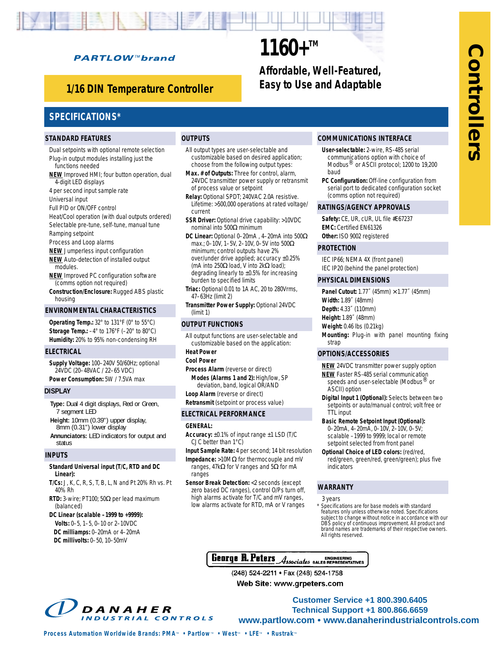# **PARTLOW™brand**

# *Easy to Use and Adaptable 1/16 DIN Temperature Controller*

# **1160+™** *Affordable, Well-Featured,*

# **SPECIFICATIONS\***

#### **STANDARD FEATURES**

### **OUTPUTS**

- Dual setpoints with optional remote selection Plug-in output modules installing just the functions needed
- **NEW** Improved HMI; four button operation, dual 4-digit LED displays
- 4 per second input sample rate
- Universal input
- Full PID or ON/OFF control
- Heat/Cool operation (with dual outputs ordered) Selectable pre-tune, self-tune, manual tune
- Ramping setpoint
- Process and Loop alarms
- **NEW** Jumperless input configuration **NEW** Auto-detection of installed output modules.
- **NEW** Improved PC configuration software (comms option not required)
- **Construction/Enclosure:** Rugged ABS plastic housing

#### **ENVIRONMENTAL CHARACTERISTICS**

**Operating Temp.:** 32° to 131°F (0° to 55°C) **Storage Temp.:** –4° to 176°F (–20° to 80°C) **Humidity:** 20% to 95% non-condensing RH

#### **ELECTRICAL**

**Supply Voltage:** 100–240V 50/60Hz; optional 24VDC (20–48VAC / 22–65 VDC) **Power Consumption:** 5W / 7.5VA max

#### **DISPLAY**

**Type:** Dual 4 digit displays, Red or Green, 7 segment LED **Height:** 10mm (0.39") upper display, 8mm (0.31") lower display **Annunciators:** LED indicators for output and status

#### **INPUTS**

#### **Standard Universal input (T/C, RTD and DC Linear):**

- **T/Cs:** J, K, C, R, S, T, B, L, N and Pt 20% Rh vs. Pt 40% Rh
- **RTD:** 3-wire; PT100; 50Ω per lead maximum (balanced)

#### **DC Linear (scalable –1999 to +9999): Volts:** 0–5, 1–5, 0–10 or 2–10VDC **DC milliamps:** 0–20mA or 4–20mA **DC millivolts:** 0–50, 10–50mV

- All output types are user-selectable and customizable based on desired application; choose from the following output types:
- **Max. # of Outputs:** Three for control, alarm, 24VDC transmitter power supply or retransmit of process value or setpoint
- **Relay:** Optional SPDT; 240VAC 2.0A resistive. Lifetime: >500,000 operations at rated voltage/ current
- **SSR Driver:** Optional drive capability: >10VDC nominal into 500Ω minimum
- **DC Linear:** Optional 0–20mA , 4–20mA into 500Ω max.; 0–10V, 1–5V, 2–10V, 0–5V into 500Ω minimum; control outputs have 2% over/under drive applied; accuracy ±0.25% (mA into 250Ω load, V into 2kΩ load); degrading linearly to ±0.5% for increasing burden to specified limits
- **Triac:** Optional 0.01 to 1A AC, 20 to 280Vrms, 47–63Hz (limit 2)
- **Transmitter Power Supply:** Optional 24VDC (limit 1)

#### **OUTPUT FUNCTIONS**

- All output functions are user-selectable and customizable based on the application:
- **Heat Power**
- **Cool Power**
- **Process Alarm** (reverse or direct) **Modes (Alarms 1 and 2):** High/low, SP deviation, band, logical OR/AND
- **Loop Alarm** (reverse or direct) **Retransmit** (setpoint or process value)

#### **ELECTRICAL PERFORMANCE**

#### **GENERAL:**

- **Accuracy:** ±0.1% of input range ±1 LSD (T/C CJC better than 1°C)
- **Input Sample Rate:** 4 per second; 14 bit resolution
- **Impedance:** >10MΩ for thermocouple and mV ranges, 47kΩ for V ranges and 5Ω for mA ranges
- **Sensor Break Detection:** <2 seconds (except zero based DC ranges), control O/Ps turn off, high alarms activate for T/C and mV ranges, low alarms activate for RTD, mA or V ranges

#### **COMMUNICATIONS INTERFACE**

- **User-selectable:** 2-wire, RS-485 serial communications option with choice of Modbus<sup>®</sup> or ASCII protocol; 1200 to 19,200 baud
- **PC Configuration:** Off-line configuration from serial port to dedicated configuration socket (comms option not required)

#### **RATINGS/AGENCY APPROVALS**

**Safety:** CE, UR, cUR, UL file #E67237 **EMC:** Certified EN61326

**Other:** ISO 9002 registered

#### **PROTECTION**

IEC IP66; NEMA 4X (front panel) IEC IP20 (behind the panel protection)

#### **PHYSICAL DIMENSIONS**

**Panel Cutout:** 1.77˝ (45mm) × 1.77˝ (45mm) **Width:** 1.89˝ (48mm) **Depth:** 4.33˝ (110mm) **Height:** 1.89˝ (48mm) **Weight:** 0.46 lbs (0.21kg) **Mounting:** Plug-in with panel mounting fixing strap

#### **OPTIONS/ACCESSORIES**

- **NEW** 24VDC transmitter power supply option **NEW** Faster RS-485 serial communication speeds and user-selectable (Modbus<sup>®</sup> or ASCII) option
- **Digital Input 1 (Optional):** Selects between two setpoints or auto/manual control; volt free or TTL input
- **Basic Remote Setpoint Input (Optional):** 0–20mA, 4–20mA, 0–10V, 2–10V, 0–5V; scalable –1999 to 9999; local or remote setpoint selected from front panel
- **Optional Choice of LED colors:** (red/red, red/green, green/red, green/green); plus five indicators

#### **WARRANTY**

- 3 years
- Specifications are for base models with standard features only unless otherwise noted. Specifications subject to change without notice in accordance with our DBS policy of continuous improvement. All product and brand names are trademarks of their respective owners. All rights reserved.



**Customer Service +1 800.390.6405 Technical Support +1 800.866.6659 EXECUTE: Well-Featured.**<br> **Example to the and Adaptable**<br> **Example to the and Adaptable**<br> **Example the and Adaptable**<br> **Example the and Adaptable**<br> **Example the and CONTROVIDUS INTERFACE CONTROLLERS STRUCT CONTROLLERS**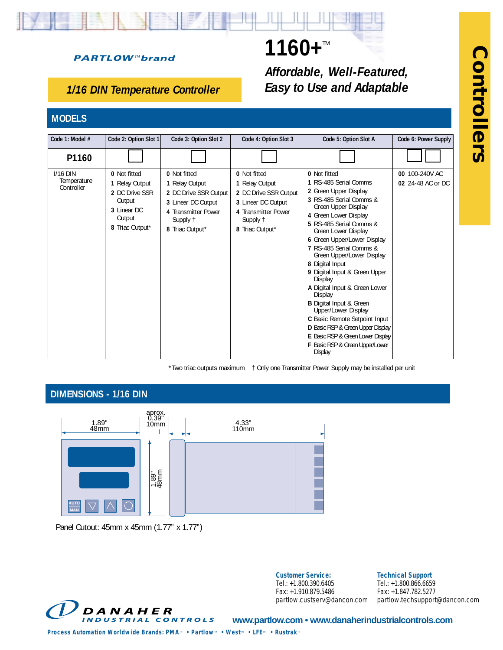# **PARTLOW™brand**

# *1/16 DIN Temperature Controller*

# **MODELS**

| Code 1: Model #                         | Code 2: Option Slot 1                                                                                         | Code 3: Option Slot 2                                                                                                               | Code 4: Option Slot 3                                                                                                               | Code 5: Option Slot A                                                                                                                                                                                                                                                                                                                                                                                                                                                                                                                                                                                                  | Code 6: Power Supply                |
|-----------------------------------------|---------------------------------------------------------------------------------------------------------------|-------------------------------------------------------------------------------------------------------------------------------------|-------------------------------------------------------------------------------------------------------------------------------------|------------------------------------------------------------------------------------------------------------------------------------------------------------------------------------------------------------------------------------------------------------------------------------------------------------------------------------------------------------------------------------------------------------------------------------------------------------------------------------------------------------------------------------------------------------------------------------------------------------------------|-------------------------------------|
| P1160                                   |                                                                                                               |                                                                                                                                     |                                                                                                                                     |                                                                                                                                                                                                                                                                                                                                                                                                                                                                                                                                                                                                                        |                                     |
| $I/16$ DIN<br>Temperature<br>Controller | <b>0</b> Not fitted<br>1 Relay Output<br>2 DC Drive SSR<br>Output<br>3 Linear DC<br>Output<br>8 Triac Output* | 0 Not fitted<br>1 Relay Output<br>2 DC Drive SSR Output<br>3 Linear DC Output<br>4 Transmitter Power<br>Supply 1<br>8 Triac Output* | 0 Not fitted<br>1 Relay Output<br>2 DC Drive SSR Output<br>3 Linear DC Output<br>4 Transmitter Power<br>Supply †<br>8 Triac Output* | 0 Not fitted<br>1 RS-485 Serial Comms<br>2 Green Upper Display<br>3 RS-485 Serial Comms &<br>Green Upper Display<br>4 Green Lower Display<br>5 RS-485 Serial Comms &<br>Green Lower Display<br>6 Green Upper/Lower Display<br>7 RS-485 Serial Comms &<br>Green Upper/Lower Display<br>8 Digital Input<br>9 Digital Input & Green Upper<br>Display<br>A Digital Input & Green Lower<br>Display<br><b>B</b> Digital Input & Green<br>Upper/Lower Display<br>C Basic Remote Setpoint Input<br>D Basic RSP & Green Upper Display<br>E Basic RSP & Green Lower Display<br>F Basic RSP & Green Upper/Lower<br><b>Display</b> | 00 100-240V AC<br>02 24-48 AC or DC |

\*Two triac outputs maximum † Only one Transmitter Power Supply may be installed per unit

1160+™

*Affordable, Well-Featured, Easy to Use and Adaptable*

# **DIMENSIONS - 1/16 DIN**



Panel Cutout: 45mm x 45mm (1.77" x 1.77")



**Customer Service:** Tel.: +1.800.390.6405 Fax: +1.910.879.5486 partlow.custserv@dancon.com

**Technical Support** Tel.: +1.800.866.6659

Fax: +1.847.782.5277 partlow.techsupport@dancon.com

**www.partlow.com • www.danaherindustrialcontrols.com**

*Process Automation Worldwide Brands: PMA<sup><i>m*</sup> • Partlow<sup>*m*</sup> • West<sup>*m*</sup> • LFE<sup>*M*</sup> • Rustrak<sup>*m*</sup>